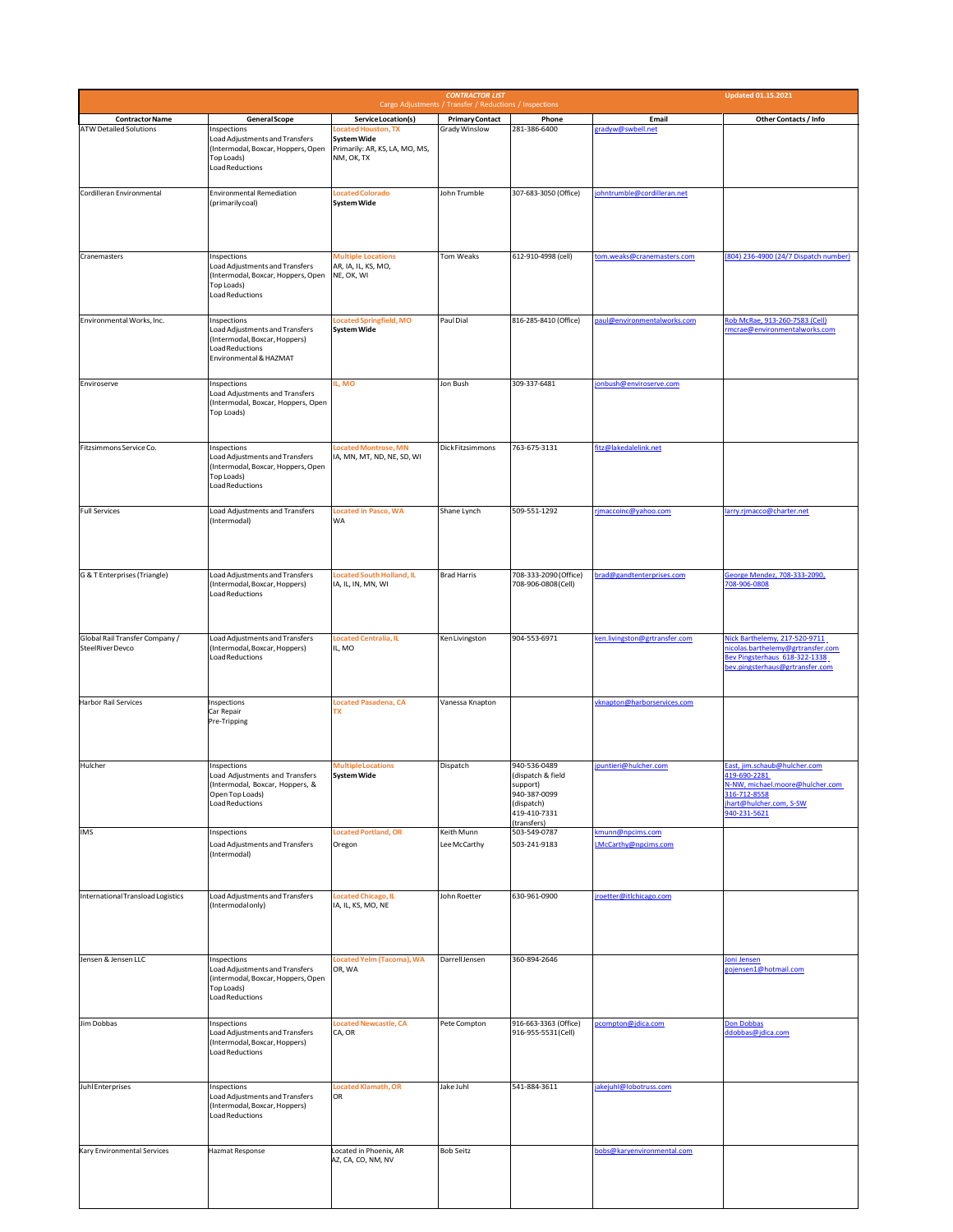|                                                    |                                                                                                                                    |                                                                                           | <b>CONTRACTOR LIST</b>                                                            |                                                                                             |                                                 | <b>Updated 01.15.2021</b>                                                                                                                |
|----------------------------------------------------|------------------------------------------------------------------------------------------------------------------------------------|-------------------------------------------------------------------------------------------|-----------------------------------------------------------------------------------|---------------------------------------------------------------------------------------------|-------------------------------------------------|------------------------------------------------------------------------------------------------------------------------------------------|
| <b>Contractor Name</b>                             | <b>General Scope</b>                                                                                                               | Service Location(s)                                                                       | Cargo Adjustments / Transfer / Reductions / Inspections<br><b>Primary Contact</b> | Phone                                                                                       | Email                                           | Other Contacts / Info                                                                                                                    |
| <b>ATW Detailed Solutions</b>                      | Inspections<br>Load Adjustments and Transfers<br>(Intermodal, Boxcar, Hoppers, Open<br>Top Loads)<br>Load Reductions               | Located Houston, TX<br><b>System Wide</b><br>Primarily: AR, KS, LA, MO, MS,<br>NM, OK, TX | Grady Winslow                                                                     | 281-386-6400                                                                                | gradyw@swbell.net                               |                                                                                                                                          |
| Cordilleran Environmental                          | <b>Environmental Remediation</b><br>(primarilycoal)                                                                                | <b>Located Colorado</b><br><b>System Wide</b>                                             | John Trumble                                                                      | 307-683-3050 (Office)                                                                       | ohntrumble@cordilleran.net                      |                                                                                                                                          |
| Cranemasters                                       | Inspections<br>Load Adjustments and Transfers<br>(Intermodal, Boxcar, Hoppers, Open<br>Top Loads)<br><b>Load Reductions</b>        | <b>Multiple Locations</b><br>AR, IA, IL, KS, MO,<br>NE, OK, WI                            | Tom Weaks                                                                         | 612-910-4998 (cell)                                                                         | tom.weaks@cranemasters.com                      | (804) 236-4900 (24/7 Dispatch number)                                                                                                    |
| Environmental Works, Inc.                          | Inspections<br>Load Adjustments and Transfers<br>(Intermodal, Boxcar, Hoppers)<br><b>Load Reductions</b><br>Environmental & HAZMAT | Located Springfield, MO<br><b>System Wide</b>                                             | Paul Dial                                                                         | 816-285-8410 (Office)                                                                       | paul@environmentalworks.com                     | Rob McRae, 913-260-7583 (Cell)<br>rmcrae@environmentalworks.com                                                                          |
| Enviroserve                                        | Inspections<br>Load Adjustments and Transfers<br>(Intermodal, Boxcar, Hoppers, Open<br>Top Loads)                                  | L, MO                                                                                     | Jon Bush                                                                          | 309-337-6481                                                                                | jonbush@enviroserve.com                         |                                                                                                                                          |
| Fitzsimmons Service Co.                            | Inspections<br>Load Adjustments and Transfers<br>(Intermodal, Boxcar, Hoppers, Open<br>Top Loads)<br><b>Load Reductions</b>        | ocated Montrose, MN<br>IA, MN, MT, ND, NE, SD, WI                                         | Dick Fitzsimmons                                                                  | 763-675-3131                                                                                | fitz@lakedalelink.net                           |                                                                                                                                          |
| <b>Full Services</b>                               | Load Adjustments and Transfers<br>(Intermodal)                                                                                     | <b>Located in Pasco, WA</b><br><b>WA</b>                                                  | Shane Lynch                                                                       | 509-551-1292                                                                                | rjmaccoinc@yahoo.com                            | arry.rjmacco@charter.net                                                                                                                 |
| G & T Enterprises (Triangle)                       | Load Adjustments and Transfers<br>(Intermodal, Boxcar, Hoppers)<br><b>Load Reductions</b>                                          | Located South Holland, IL<br>IA, IL, IN, MN, WI                                           | <b>Brad Harris</b>                                                                | 708-333-2090 (Office)<br>708-906-0808 (Cell)                                                | brad@gandtenterprises.com                       | George Mendez, 708-333-2090,<br>708-906-0808                                                                                             |
| Global Rail Transfer Company /<br>SteelRiver Devco | <b>Load Adjustments and Transfers</b><br>(Intermodal, Boxcar, Hoppers)<br><b>Load Reductions</b>                                   | Located Centralia, IL<br>IL, MO                                                           | Ken Livingston                                                                    | 904-553-6971                                                                                | ken.livingston@grtransfer.com                   | Nick Barthelemy, 217-520-9711<br>nicolas.barthelemy@grtransfer.com<br>Bev Pingsterhaus 618-322-1338<br>pev.pingsterhaus@grtransfer.com   |
| <b>Harbor Rail Services</b>                        | Inspections<br>Car Repair<br>Pre-Tripping                                                                                          | <b>Located Pasadena, CA</b><br><b>TX</b>                                                  | Vanessa Knapton                                                                   |                                                                                             | vknapton@harborservices.com                     |                                                                                                                                          |
| Hulcher                                            | Inspections<br>Load Adjustments and Transfers<br>(Intermodal, Boxcar, Hoppers, &<br>Open Top Loads)<br><b>Load Reductions</b>      | <b>Multiple Locations</b><br><b>System Wide</b>                                           | Dispatch                                                                          | 940-536-0489<br>(dispatch & field<br>support)<br>940-387-0099<br>(dispatch)<br>419-410-7331 | puntieri@hulcher.com                            | ast, jim.schaub@hulcher.com<br>419-690-2281<br>N-NW, michael.moore@hulcher.com<br>316-712-8558<br>hart@hulcher.com, S-SW<br>940-231-5621 |
| <b>IMS</b>                                         | Inspections<br>Load Adjustments and Transfers<br>(Intermodal)                                                                      | Located Portland, OR<br>Oregon                                                            | Keith Munn<br>Lee McCarthy                                                        | (transfers)<br>503-549-0787<br>503-241-9183                                                 | kmunn@npcims.com<br><b>LMcCarthy@npcims.com</b> |                                                                                                                                          |
| International Transload Logistics                  | Load Adjustments and Transfers<br>(Intermodal only)                                                                                | Located Chicago, IL<br>IA, IL, KS, MO, NE                                                 | John Roetter                                                                      | 630-961-0900                                                                                | jroetter@itlchicago.com                         |                                                                                                                                          |
| Jensen & Jensen LLC                                | Inspections<br>Load Adjustments and Transfers<br>(intermodal, Boxcar, Hoppers, Open<br>Top Loads)<br><b>Load Reductions</b>        | Located Yelm (Tacoma), WA<br>OR, WA                                                       | Darrell Jensen                                                                    | 360-894-2646                                                                                |                                                 | oni Jensen<br>gojensen1@hotmail.com                                                                                                      |
| Jim Dobbas                                         | Inspections<br>Load Adjustments and Transfers<br>(Intermodal, Boxcar, Hoppers)<br>Load Reductions                                  | Located Newcastle, CA<br>CA, OR                                                           | Pete Compton                                                                      | 916-663-3363 (Office)<br>916-955-5531 (Cell)                                                | pcompton@jdica.com                              | Don Dobbas<br>ddobbas@jdica.com                                                                                                          |
| <b>JuhlEnterprises</b>                             | Inspections<br>Load Adjustments and Transfers<br>(Intermodal, Boxcar, Hoppers)<br><b>Load Reductions</b>                           | Located Klamath, OR<br>OR                                                                 | Jake Juhl                                                                         | 541-884-3611                                                                                | akejuhl@lobotruss.com                           |                                                                                                                                          |
| Kary Environmental Services                        | <b>Hazmat Response</b>                                                                                                             | Located in Phoenix, AR<br>AZ, CA, CO, NM, NV                                              | <b>Bob Seitz</b>                                                                  |                                                                                             | bobs@karyenvironmental.com                      |                                                                                                                                          |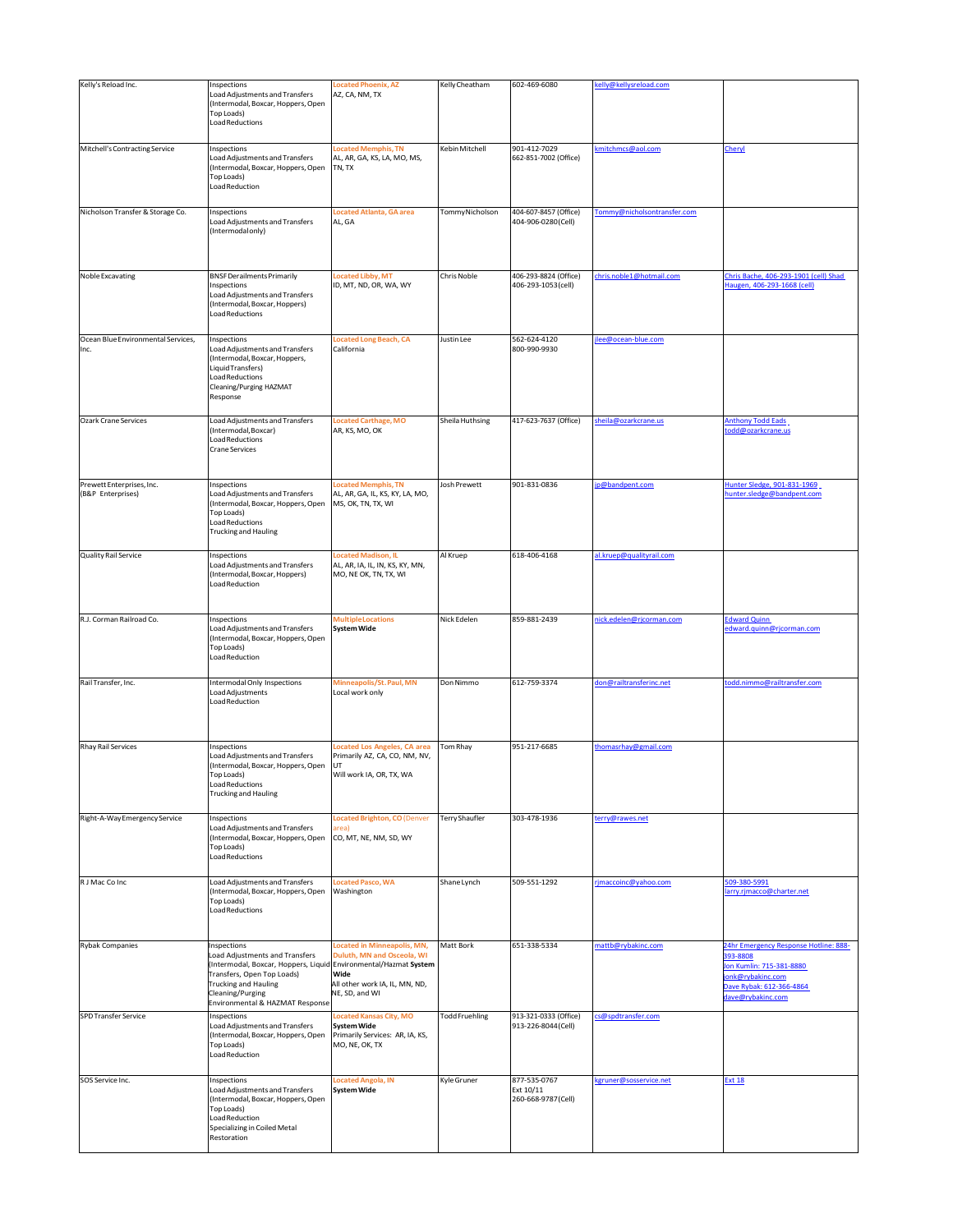| Kelly's Reload Inc.                            | Inspections                                                                                                                                                                                                                                     | <b>Located Phoenix, AZ</b>                                                                                            | Kelly Cheatham        | 602-469-6080                                     | celly@kellysreload.com      |                                                                                                                                                   |
|------------------------------------------------|-------------------------------------------------------------------------------------------------------------------------------------------------------------------------------------------------------------------------------------------------|-----------------------------------------------------------------------------------------------------------------------|-----------------------|--------------------------------------------------|-----------------------------|---------------------------------------------------------------------------------------------------------------------------------------------------|
|                                                | Load Adjustments and Transfers<br>(Intermodal, Boxcar, Hoppers, Open<br>Top Loads)<br><b>Load Reductions</b>                                                                                                                                    | AZ, CA, NM, TX                                                                                                        |                       |                                                  |                             |                                                                                                                                                   |
| Mitchell's Contracting Service                 | Inspections<br>Load Adjustments and Transfers<br>(Intermodal, Boxcar, Hoppers, Open<br>Top Loads)<br>Load Reduction                                                                                                                             | ocated Memphis, TN<br>AL, AR, GA, KS, LA, MO, MS,<br>TN, TX                                                           | Kebin Mitchell        | 901-412-7029<br>662-851-7002 (Office)            | mitchmcs@aol.com            | Cheryl                                                                                                                                            |
| Nicholson Transfer & Storage Co.               | Inspections<br>Load Adjustments and Transfers<br>(Intermodal only)                                                                                                                                                                              | <b>Located Atlanta, GA area</b><br>AL, GA                                                                             | TommyNicholson        | 404-607-8457 (Office)<br>404-906-0280(Cell)      | Tommy@nicholsontransfer.com |                                                                                                                                                   |
| Noble Excavating                               | <b>BNSF Derailments Primarily</b><br>Inspections<br>Load Adjustments and Transfers<br>(Intermodal, Boxcar, Hoppers)<br><b>Load Reductions</b>                                                                                                   | Located Libby, MT<br>ID, MT, ND, OR, WA, WY                                                                           | Chris Noble           | 406-293-8824 (Office)<br>406-293-1053 (cell)     | chris.noble1@hotmail.com    | Chris Bache, 406-293-1901 (cell) Shad<br>Haugen, 406-293-1668 (cell)                                                                              |
| Ocean Blue Environmental Services,<br>Inc.     | Inspections<br>Load Adjustments and Transfers<br>(Intermodal, Boxcar, Hoppers,<br>Liquid Transfers)<br><b>Load Reductions</b><br>Cleaning/Purging HAZMAT<br>Response                                                                            | Located Long Beach, CA<br>California                                                                                  | Justin Lee            | 562-624-4120<br>800-990-9930                     | lee@ocean-blue.com          |                                                                                                                                                   |
| <b>Ozark Crane Services</b>                    | Load Adjustments and Transfers<br>(Intermodal, Boxcar)<br><b>Load Reductions</b><br>Crane Services                                                                                                                                              | <b>Located Carthage, MO</b><br>AR, KS, MO, OK                                                                         | Sheila Huthsing       | 417-623-7637 (Office)                            | sheila@ozarkcrane.us        | Anthony Todd Eads<br>odd@ozarkcrane.us                                                                                                            |
| Prewett Enterprises, Inc.<br>(B&P Enterprises) | Inspections<br>Load Adjustments and Transfers<br>(Intermodal, Boxcar, Hoppers, Open<br><b>Top Loads)</b><br>Load Reductions<br>Trucking and Hauling                                                                                             | Located Memphis, TN<br>AL, AR, GA, IL, KS, KY, LA, MO,<br>MS, OK, TN, TX, WI                                          | Josh Prewett          | 901-831-0836                                     | p@bandpent.com              | Hunter Sledge, 901-831-1969<br>nunter.sledge@bandpent.com                                                                                         |
| Quality Rail Service                           | Inspections<br>Load Adjustments and Transfers<br>(Intermodal, Boxcar, Hoppers)<br><b>Load Reduction</b>                                                                                                                                         | <b>Located Madison, IL</b><br>AL, AR, IA, IL, IN, KS, KY, MN,<br>MO, NE OK, TN, TX, WI                                | Al Kruep              | 618-406-4168                                     | al.kruep@qualityrail.com    |                                                                                                                                                   |
| R.J. Corman Railroad Co.                       | Inspections<br>Load Adjustments and Transfers<br>(Intermodal, Boxcar, Hoppers, Open<br>Top Loads)<br>Load Reduction                                                                                                                             | <b>Multiple Locations</b><br><b>System Wide</b>                                                                       | Nick Edelen           | 859-881-2439                                     | nick.edelen@rjcorman.com    | <b>Edward Quinn</b><br>edward.quinn@rjcorman.com                                                                                                  |
| Rail Transfer, Inc.                            | Intermodal Only Inspections<br>Load Adjustments<br>Load Reduction                                                                                                                                                                               | Minneapolis/St. Paul, MN<br>Local work only                                                                           | Don Nimmo             | 612-759-3374                                     | don@railtransferinc.net     | todd.nimmo@railtransfer.com                                                                                                                       |
| <b>Rhay Rail Services</b>                      | Inspections<br>Load Adjustments and Transfers<br>(Intermodal, Boxcar, Hoppers, Open<br>l op Loads)<br><b>Load Reductions</b><br><b>Trucking and Hauling</b>                                                                                     | Located Los Angeles, CA area<br>Primarily AZ, CA, CO, NM, NV,<br>UT<br>Will work IA, OR, TX, WA                       | Tom Rhay              | 951-217-6685                                     | thomasrhay@gmail.com        |                                                                                                                                                   |
| Right-A-Way Emergency Service                  | Inspections<br>Load Adjustments and Transfers<br>(Intermodal, Boxcar, Hoppers, Open<br>Top Loads)<br>Load Reductions                                                                                                                            | <b>Located Brighton, CO (Denver</b><br>area)<br>CO, MT, NE, NM, SD, WY                                                | Terry Shaufler        | 303-478-1936                                     | terry@rawes.net             |                                                                                                                                                   |
| R J Mac Co Inc                                 | Load Adjustments and Transfers<br>Intermodal, Boxcar, Hoppers, Open<br>Top Loads)<br><b>Load Reductions</b>                                                                                                                                     | <b>Located Pasco, WA</b><br>Washington                                                                                | Shane Lynch           | 509-551-1292                                     | rjmaccoinc@yahoo.com        | 509-380-5991<br>arry.rjmacco@charter.net                                                                                                          |
| <b>Rybak Companies</b>                         | Inspections<br>Load Adjustments and Transfers<br>Intermodal, Boxcar, Hoppers, Liquid Environmental/Hazmat System<br>Transfers, Open Top Loads)<br><b>Trucking and Hauling</b><br>Cleaning/Purging<br><b>Environmental &amp; HAZMAT Response</b> | Located in Minneapolis, MN,<br>Duluth, MN and Osceola, WI<br>Wide<br>All other work IA, IL, MN, ND,<br>NE, SD, and WI | Matt Bork             | 651-338-5334                                     | mattb@rybakinc.com          | 24hr Emergency Response Hotline: 888-<br>393-8808<br>on Kumlin: 715-381-8880<br>onk@rybakinc.com<br>Dave Rybak: 612-366-4864<br>dave@rybakinc.com |
| <b>SPD Transfer Service</b>                    | Inspections<br>Load Adjustments and Transfers<br>(Intermodal, Boxcar, Hoppers, Open<br>Top Loads)<br>Load Reduction                                                                                                                             | <b>Located Kansas City, MO</b><br><b>System Wide</b><br>Primarily Services: AR, IA, KS,<br>MO, NE, OK, TX             | <b>Todd Fruehling</b> | 913-321-0333 (Office)<br>913-226-8044 (Cell)     | cs@spdtransfer.com          |                                                                                                                                                   |
| SOS Service Inc.                               | Inspections<br>Load Adjustments and Transfers<br>(Intermodal, Boxcar, Hoppers, Open<br>Top Loads)<br>Load Reduction<br>Specializing in Coiled Metal<br>Restoration                                                                              | Located Angola, IN<br><b>System Wide</b>                                                                              | Kyle Gruner           | 877-535-0767<br>Ext 10/11<br>260-668-9787 (Cell) | kgruner@sosservice.net      | <b>Ext 18</b>                                                                                                                                     |